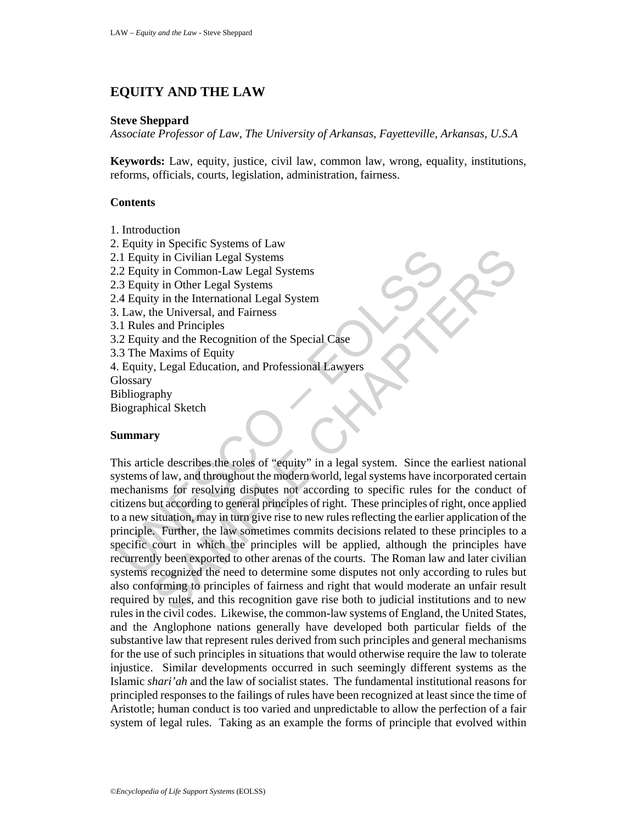# **EQUITY AND THE LAW**

#### **Steve Sheppard**

*Associate Professor of Law, The University of Arkansas, Fayetteville, Arkansas, U.S.A*

**Keywords:** Law, equity, justice, civil law, common law, wrong, equality, institutions, reforms, officials, courts, legislation, administration, fairness.

### **Contents**

- 1. Introduction
- 2. Equity in Specific Systems of Law
- 2.1 Equity in Civilian Legal Systems
- 2.2 Equity in Common-Law Legal Systems
- 2.3 Equity in Other Legal Systems
- 2.4 Equity in the International Legal System
- 3. Law, the Universal, and Fairness
- 3.1 Rules and Principles
- 3.2 Equity and the Recognition of the Special Case
- 3.3 The Maxims of Equity
- 4. Equity, Legal Education, and Professional Lawyers
- **Glossary**
- Bibliography
- Biographical Sketch

### **Summary**

1. Equity in Civilian Legal Systems<br>
2. Equity in Civilian Legal Systems<br>
2. Equity in Civilian Legal Systems<br>
4. Equity in the International Legal Systems<br>
3. Equity in the International Legal System<br>
1. Law, the Universa In Civilian Legal Systems<br>
in Civilian Legal Systems<br>
yi in Other Legal Systems<br>
yi in Civilian Legal Systems<br>
he Universal, and Fairness<br>
and Principles<br>
Advantant of Equity<br>
Maximum of Equity<br>
Maximum of Equity<br>
Maximum This article describes the roles of "equity" in a legal system. Since the earliest national systems of law, and throughout the modern world, legal systems have incorporated certain mechanisms for resolving disputes not according to specific rules for the conduct of citizens but according to general principles of right. These principles of right, once applied to a new situation, may in turn give rise to new rules reflecting the earlier application of the principle. Further, the law sometimes commits decisions related to these principles to a specific court in which the principles will be applied, although the principles have recurrently been exported to other arenas of the courts. The Roman law and later civilian systems recognized the need to determine some disputes not only according to rules but also conforming to principles of fairness and right that would moderate an unfair result required by rules, and this recognition gave rise both to judicial institutions and to new rules in the civil codes. Likewise, the common-law systems of England, the United States, and the Anglophone nations generally have developed both particular fields of the substantive law that represent rules derived from such principles and general mechanisms for the use of such principles in situations that would otherwise require the law to tolerate injustice. Similar developments occurred in such seemingly different systems as the Islamic *shari'ah* and the law of socialist states. The fundamental institutional reasons for principled responses to the failings of rules have been recognized at least since the time of Aristotle; human conduct is too varied and unpredictable to allow the perfection of a fair system of legal rules. Taking as an example the forms of principle that evolved within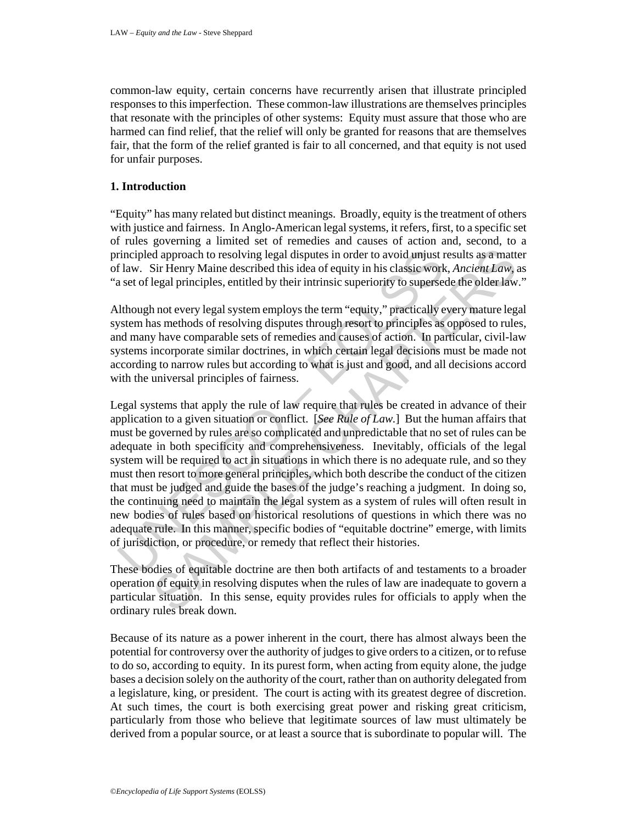common-law equity, certain concerns have recurrently arisen that illustrate principled responses to this imperfection. These common-law illustrations are themselves principles that resonate with the principles of other systems: Equity must assure that those who are harmed can find relief, that the relief will only be granted for reasons that are themselves fair, that the form of the relief granted is fair to all concerned, and that equity is not used for unfair purposes.

## **1. Introduction**

"Equity" has many related but distinct meanings. Broadly, equity is the treatment of others with justice and fairness. In Anglo-American legal systems, it refers, first, to a specific set of rules governing a limited set of remedies and causes of action and, second, to a principled approach to resolving legal disputes in order to avoid unjust results as a matter of law. Sir Henry Maine described this idea of equity in his classic work, *Ancient Law*, as "a set of legal principles, entitled by their intrinsic superiority to supersede the older law."

Although not every legal system employs the term "equity," practically every mature legal system has methods of resolving disputes through resort to principles as opposed to rules, and many have comparable sets of remedies and causes of action. In particular, civil-law systems incorporate similar doctrines, in which certain legal decisions must be made not according to narrow rules but according to what is just and good, and all decisions accord with the universal principles of fairness.

rincipled approach to resolving legal disputes in order to avoid unjust r flaw. Sir Henry Maine described this idea of equity in his classic work as et of legal principles, entitled by their intrinsic superiority to super d approach to resolving legal disputes in order to avoid unjust results as a matt<br>Sir Henry Maine described this idea of equity in his classic work, *Ancient Law*, a<br>fegal principles, entitled by their intrinsic superiorit Legal systems that apply the rule of law require that rules be created in advance of their application to a given situation or conflict. [*See Rule of Law.*] But the human affairs that must be governed by rules are so complicated and unpredictable that no set of rules can be adequate in both specificity and comprehensiveness. Inevitably, officials of the legal system will be required to act in situations in which there is no adequate rule, and so they must then resort to more general principles, which both describe the conduct of the citizen that must be judged and guide the bases of the judge's reaching a judgment. In doing so, the continuing need to maintain the legal system as a system of rules will often result in new bodies of rules based on historical resolutions of questions in which there was no adequate rule. In this manner, specific bodies of "equitable doctrine" emerge, with limits of jurisdiction, or procedure, or remedy that reflect their histories.

These bodies of equitable doctrine are then both artifacts of and testaments to a broader operation of equity in resolving disputes when the rules of law are inadequate to govern a particular situation. In this sense, equity provides rules for officials to apply when the ordinary rules break down.

Because of its nature as a power inherent in the court, there has almost always been the potential for controversy over the authority of judges to give orders to a citizen, or to refuse to do so, according to equity. In its purest form, when acting from equity alone, the judge bases a decision solely on the authority of the court, rather than on authority delegated from a legislature, king, or president. The court is acting with its greatest degree of discretion. At such times, the court is both exercising great power and risking great criticism, particularly from those who believe that legitimate sources of law must ultimately be derived from a popular source, or at least a source that is subordinate to popular will. The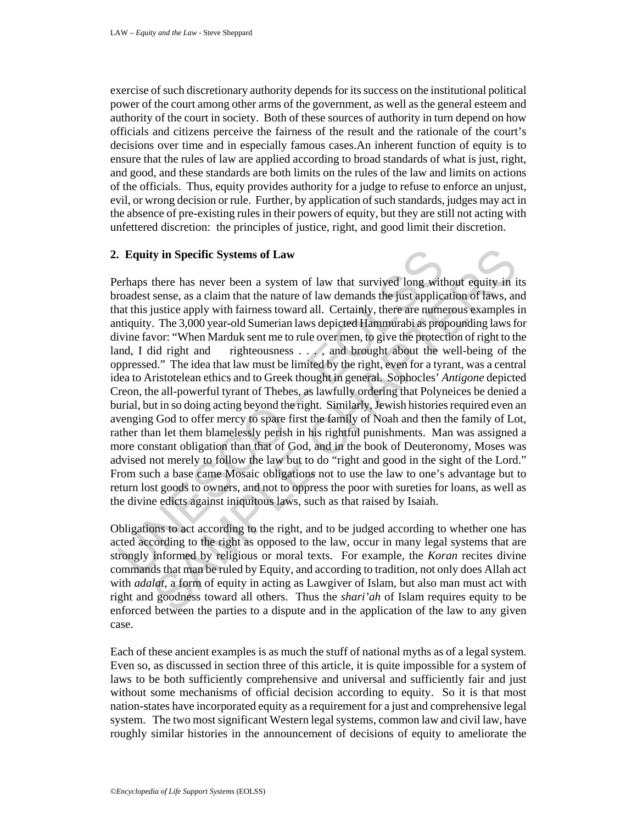exercise of such discretionary authority depends for its success on the institutional political power of the court among other arms of the government, as well as the general esteem and authority of the court in society. Both of these sources of authority in turn depend on how officials and citizens perceive the fairness of the result and the rationale of the court's decisions over time and in especially famous cases.An inherent function of equity is to ensure that the rules of law are applied according to broad standards of what is just, right, and good, and these standards are both limits on the rules of the law and limits on actions of the officials. Thus, equity provides authority for a judge to refuse to enforce an unjust, evil, or wrong decision or rule. Further, by application of such standards, judges may act in the absence of pre-existing rules in their powers of equity, but they are still not acting with unfettered discretion: the principles of justice, right, and good limit their discretion.

# **2. Equity in Specific Systems of Law**

**Example 18 Systems of Law**<br> **Example 16 Systems of Law**<br> **Example 16 Systems of Law**<br> **Example 16 Systems** condeast sense, as a claim that the nature of law demands the just applicat<br>
at this justice apply with fairness iy in Specific Systems of Law<br>there has never been a system of law that survived long without equity in it<br>sense, as a claim that the nature of law demands the just application of laws, an<br>ustice apply with fairness towar Perhaps there has never been a system of law that survived long without equity in its broadest sense, as a claim that the nature of law demands the just application of laws, and that this justice apply with fairness toward all. Certainly, there are numerous examples in antiquity. The 3,000 year-old Sumerian laws depicted Hammurabi as propounding laws for divine favor: "When Marduk sent me to rule over men, to give the protection of right to the land, I did right and righteousness . . . , and brought about the well-being of the oppressed." The idea that law must be limited by the right, even for a tyrant, was a central idea to Aristotelean ethics and to Greek thought in general. Sophocles' *Antigone* depicted Creon, the all-powerful tyrant of Thebes, as lawfully ordering that Polyneices be denied a burial, but in so doing acting beyond the right. Similarly, Jewish histories required even an avenging God to offer mercy to spare first the family of Noah and then the family of Lot, rather than let them blamelessly perish in his rightful punishments. Man was assigned a more constant obligation than that of God, and in the book of Deuteronomy, Moses was advised not merely to follow the law but to do "right and good in the sight of the Lord." From such a base came Mosaic obligations not to use the law to one's advantage but to return lost goods to owners, and not to oppress the poor with sureties for loans, as well as the divine edicts against iniquitous laws, such as that raised by Isaiah.

Obligations to act according to the right, and to be judged according to whether one has acted according to the right as opposed to the law, occur in many legal systems that are strongly informed by religious or moral texts. For example, the *Koran* recites divine commands that man be ruled by Equity, and according to tradition, not only does Allah act with *adalat*, a form of equity in acting as Lawgiver of Islam, but also man must act with right and goodness toward all others. Thus the *shari'ah* of Islam requires equity to be enforced between the parties to a dispute and in the application of the law to any given case.

Each of these ancient examples is as much the stuff of national myths as of a legal system. Even so, as discussed in section three of this article, it is quite impossible for a system of laws to be both sufficiently comprehensive and universal and sufficiently fair and just without some mechanisms of official decision according to equity. So it is that most nation-states have incorporated equity as a requirement for a just and comprehensive legal system. The two most significant Western legal systems, common law and civil law, have roughly similar histories in the announcement of decisions of equity to ameliorate the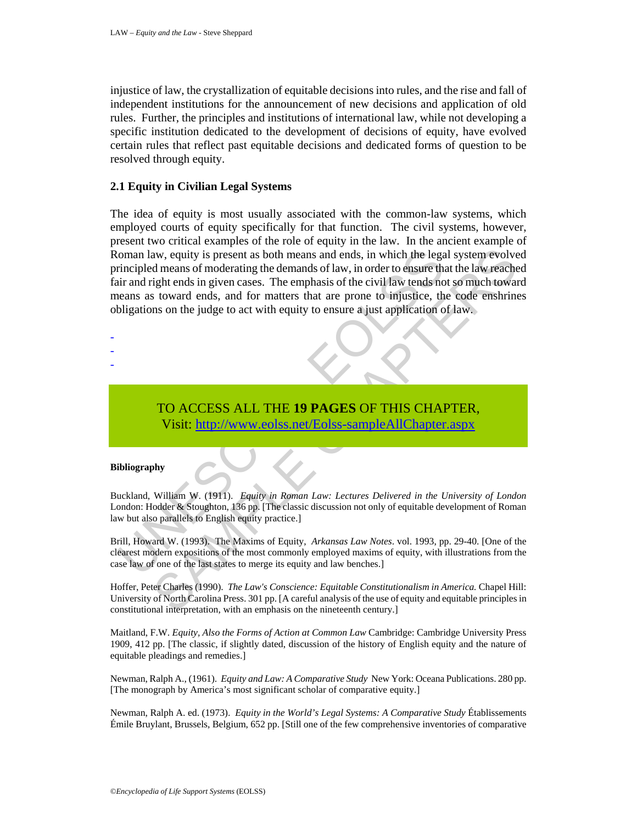injustice of law, the crystallization of equitable decisions into rules, and the rise and fall of independent institutions for the announcement of new decisions and application of old rules. Further, the principles and institutions of international law, while not developing a specific institution dedicated to the development of decisions of equity, have evolved certain rules that reflect past equitable decisions and dedicated forms of question to be resolved through equity.

#### **2.1 Equity in Civilian Legal Systems**

oman law, equity is present as both means and ends, in which the legar<br>principled means of moderating the demands of law, in order to ensure the<br>intrand right ends in given cases. The emphasis of the civil law tends no<br>ele aw, equity is present as both means and ends, in which the legal system evolved<br>means of moderating the demands of law, in order to ensure that the law reaches<br>ight ends in given cases. The emphasis of the civil law tends The idea of equity is most usually associated with the common-law systems, which employed courts of equity specifically for that function. The civil systems, however, present two critical examples of the role of equity in the law. In the ancient example of Roman law, equity is present as both means and ends, in which the legal system evolved principled means of moderating the demands of law, in order to ensure that the law reached fair and right ends in given cases. The emphasis of the civil law tends not so much toward means as toward ends, and for matters that are prone to injustice, the code enshrines obligations on the judge to act with equity to ensure a just application of law.

- -
- -
- -
- TO ACCESS ALL THE **19 PAGES** OF THIS CHAPTER, Visit: http://www.eolss.net/Eolss-sampleAllChapter.aspx

#### **Bibliography**

Buckland, William W. (1911). *Equity in Roman Law: Lectures Delivered in the University of London* London: Hodder & Stoughton, 136 pp. [The classic discussion not only of equitable development of Roman law but also parallels to English equity practice.]

Brill, Howard W. (1993). The Maxims of Equity, *Arkansas Law Notes*. vol. 1993, pp. 29-40. [One of the clearest modern expositions of the most commonly employed maxims of equity, with illustrations from the case law of one of the last states to merge its equity and law benches.]

Hoffer, Peter Charles (1990). *The Law's Conscience: Equitable Constitutionalism in America.* Chapel Hill: University of North Carolina Press. 301 pp. [A careful analysis of the use of equity and equitable principles in constitutional interpretation, with an emphasis on the nineteenth century.]

Maitland, F.W. *Equity, Also the Forms of Action at Common Law* Cambridge: Cambridge University Press 1909, 412 pp. [The classic, if slightly dated, discussion of the history of English equity and the nature of equitable pleadings and remedies.]

Newman, Ralph A., (1961). *Equity and Law: A Comparative Study* New York: Oceana Publications. 280 pp. [The monograph by America's most significant scholar of comparative equity.]

Newman, Ralph A. ed. (1973). *Equity in the World's Legal Systems: A Comparative Study* Établissements Émile Bruylant, Brussels, Belgium, 652 pp. [Still one of the few comprehensive inventories of comparative